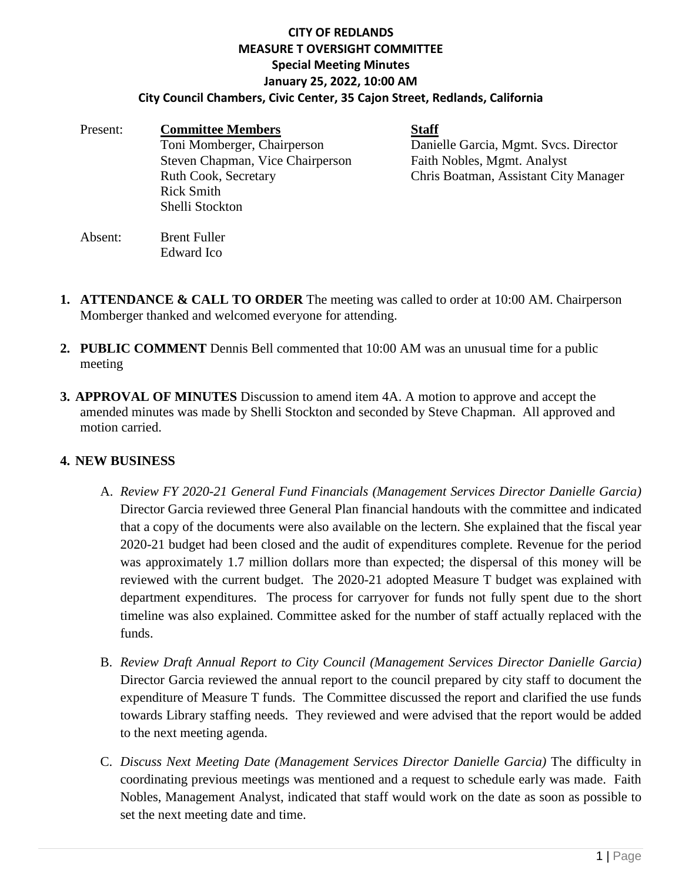## **CITY OF REDLANDS MEASURE T OVERSIGHT COMMITTEE Special Meeting Minutes January 25, 2022, 10:00 AM City Council Chambers, Civic Center, 35 Cajon Street, Redlands, California**

| Present: | <b>Committee Members</b>         | <b>Staff</b>                          |
|----------|----------------------------------|---------------------------------------|
|          | Toni Momberger, Chairperson      | Danielle Garcia, Mgmt. Svcs. Director |
|          | Steven Chapman, Vice Chairperson | Faith Nobles, Mgmt. Analyst           |
|          | Ruth Cook, Secretary             | Chris Boatman, Assistant City Manager |
|          | <b>Rick Smith</b>                |                                       |
|          | Shelli Stockton                  |                                       |
| Absent:  | <b>Brent Fuller</b>              |                                       |

- **1. ATTENDANCE & CALL TO ORDER** The meeting was called to order at 10:00 AM. Chairperson Momberger thanked and welcomed everyone for attending.
- **2. PUBLIC COMMENT** Dennis Bell commented that 10:00 AM was an unusual time for a public meeting
- **3. APPROVAL OF MINUTES** Discussion to amend item 4A. A motion to approve and accept the amended minutes was made by Shelli Stockton and seconded by Steve Chapman. All approved and motion carried.

## **4. NEW BUSINESS**

Edward Ico

- A. *Review FY 2020-21 General Fund Financials (Management Services Director Danielle Garcia)* Director Garcia reviewed three General Plan financial handouts with the committee and indicated that a copy of the documents were also available on the lectern. She explained that the fiscal year 2020-21 budget had been closed and the audit of expenditures complete. Revenue for the period was approximately 1.7 million dollars more than expected; the dispersal of this money will be reviewed with the current budget. The 2020-21 adopted Measure T budget was explained with department expenditures. The process for carryover for funds not fully spent due to the short timeline was also explained. Committee asked for the number of staff actually replaced with the funds.
- B. *Review Draft Annual Report to City Council (Management Services Director Danielle Garcia)* Director Garcia reviewed the annual report to the council prepared by city staff to document the expenditure of Measure T funds. The Committee discussed the report and clarified the use funds towards Library staffing needs. They reviewed and were advised that the report would be added to the next meeting agenda.
- C. *Discuss Next Meeting Date (Management Services Director Danielle Garcia)* The difficulty in coordinating previous meetings was mentioned and a request to schedule early was made. Faith Nobles, Management Analyst, indicated that staff would work on the date as soon as possible to set the next meeting date and time.